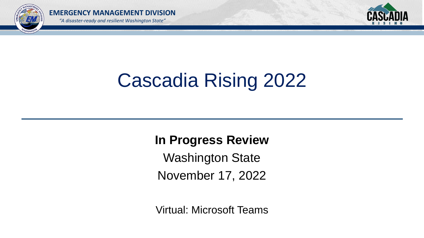



# Cascadia Rising 2022

**In Progress Review** Washington State November 17, 2022

Virtual: Microsoft Teams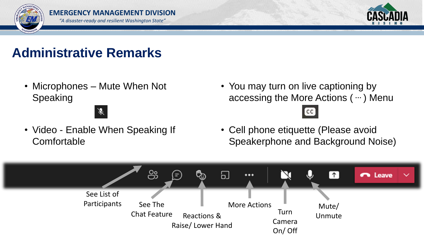



# **Administrative Remarks**

• Microphones – Mute When Not Speaking

Á

• Video - Enable When Speaking If **Comfortable** 

• You may turn on live captioning by accessing the More Actions ( **…** ) Menu

 $\lceil$  CC  $\rceil$ 

• Cell phone etiquette (Please avoid Speakerphone and Background Noise)

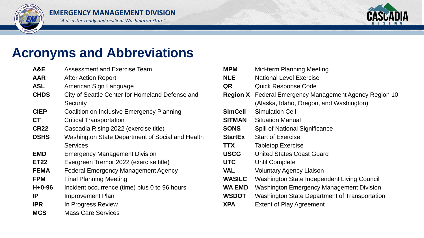



## **Acronyms and Abbreviations**

| A&E          | <b>Assessment and Exercise Team</b>              | <b>MPM</b>      | Mid        |
|--------------|--------------------------------------------------|-----------------|------------|
| <b>AAR</b>   | <b>After Action Report</b>                       | <b>NLE</b>      | <b>Nat</b> |
| <b>ASL</b>   | American Sign Language                           | QR              | Qui        |
| <b>CHDS</b>  | City of Seattle Center for Homeland Defense and  | <b>Region X</b> | Fec        |
|              | <b>Security</b>                                  |                 | (Ala       |
| <b>CIEP</b>  | <b>Coalition on Inclusive Emergency Planning</b> | <b>SimCell</b>  | Sim        |
| <b>CT</b>    | <b>Critical Transportation</b>                   | <b>SITMAN</b>   | Situ       |
| <b>CR22</b>  | Cascadia Rising 2022 (exercise title)            | <b>SONS</b>     | Spil       |
| <b>DSHS</b>  | Washington State Department of Social and Health | <b>StartEx</b>  | Sta        |
|              | <b>Services</b>                                  | <b>TTX</b>      | Tab        |
| <b>EMD</b>   | <b>Emergency Management Division</b>             | <b>USCG</b>     | Uni        |
| <b>ET22</b>  | Evergreen Tremor 2022 (exercise title)           | <b>UTC</b>      | Unt        |
| <b>FEMA</b>  | <b>Federal Emergency Management Agency</b>       | <b>VAL</b>      | Vol        |
| <b>FPM</b>   | <b>Final Planning Meeting</b>                    | <b>WASILC</b>   | Wa         |
| $H + 0 - 96$ | Incident occurrence (time) plus 0 to 96 hours    | <b>WA EMD</b>   | Wa         |
| IP           | Improvement Plan                                 | <b>WSDOT</b>    | Wa         |
| <b>IPR</b>   | In Progress Review                               | <b>XPA</b>      | Ext        |
| <b>MCS</b>   | <b>Mass Care Services</b>                        |                 |            |

| <b>MPM</b>     | <b>Mid-term Planning Meeting</b>                              |
|----------------|---------------------------------------------------------------|
| <b>NLE</b>     | <b>National Level Exercise</b>                                |
| QR             | Quick Response Code                                           |
|                | <b>Region X</b> Federal Emergency Management Agency Region 10 |
|                | (Alaska, Idaho, Oregon, and Washington)                       |
| <b>SimCell</b> | <b>Simulation Cell</b>                                        |
| <b>SITMAN</b>  | <b>Situation Manual</b>                                       |
| <b>SONS</b>    | <b>Spill of National Significance</b>                         |
| <b>StartEx</b> | <b>Start of Exercise</b>                                      |
| <b>TTX</b>     | <b>Tabletop Exercise</b>                                      |
| <b>USCG</b>    | <b>United States Coast Guard</b>                              |
| <b>UTC</b>     | <b>Until Complete</b>                                         |
| <b>VAL</b>     | <b>Voluntary Agency Liaison</b>                               |
| <b>WASILC</b>  | Washington State Independent Living Council                   |
| <b>WA EMD</b>  | <b>Washington Emergency Management Division</b>               |
| <b>WSDOT</b>   | Washington State Department of Transportation                 |
| <b>XPA</b>     | <b>Extent of Play Agreement</b>                               |
|                |                                                               |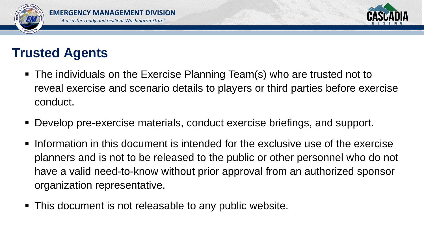



# **Trusted Agents**

- The individuals on the Exercise Planning Team(s) who are trusted not to reveal exercise and scenario details to players or third parties before exercise conduct.
- Develop pre-exercise materials, conduct exercise briefings, and support.
- **Information in this document is intended for the exclusive use of the exercise** planners and is not to be released to the public or other personnel who do not have a valid need-to-know without prior approval from an authorized sponsor organization representative.
- This document is not releasable to any public website.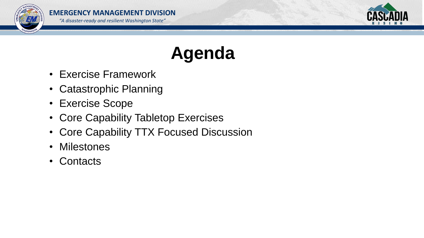



# **Agenda**

- Exercise Framework
- Catastrophic Planning
- Exercise Scope
- Core Capability Tabletop Exercises
- Core Capability TTX Focused Discussion
- Milestones
- Contacts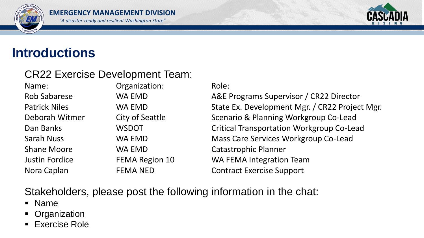



## **Introductions**

## CR22 Exercise Development Team:

Name: Crganization: Role: Sarah Nuss **WA EMD** Mass Care Services Workgroup Co-Lead Shane Moore **WA EMD** Catastrophic Planner Justin Fordice FEMA Region 10 WA FEMA Integration Team Nora Caplan FEMA NED Contract Exercise Support

Rob Sabarese **WA EMD** A&E Programs Supervisor / CR22 Director Patrick Niles **WA EMD** State Ex. Development Mgr. / CR22 Project Mgr. Deborah Witmer City of Seattle Scenario & Planning Workgroup Co-Lead Dan Banks **WSDOT** Critical Transportation Workgroup Co-Lead

## Stakeholders, please post the following information in the chat:

- Name
- Organization
- **Exercise Role**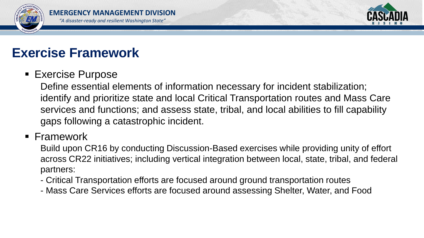



# **Exercise Framework**

## ■ Exercise Purpose

Define essential elements of information necessary for incident stabilization; identify and prioritize state and local Critical Transportation routes and Mass Care services and functions; and assess state, tribal, and local abilities to fill capability gaps following a catastrophic incident.

## ■ Framework

Build upon CR16 by conducting Discussion-Based exercises while providing unity of effort across CR22 initiatives; including vertical integration between local, state, tribal, and federal partners:

- Critical Transportation efforts are focused around ground transportation routes
- Mass Care Services efforts are focused around assessing Shelter, Water, and Food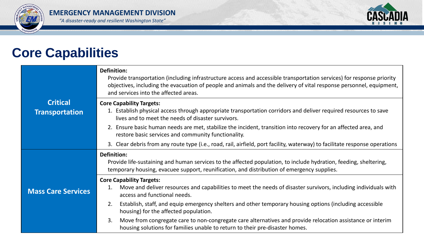



# **Core Capabilities**

|                                          | <b>Definition:</b><br>Provide transportation (including infrastructure access and accessible transportation services) for response priority<br>objectives, including the evacuation of people and animals and the delivery of vital response personnel, equipment,<br>and services into the affected areas. |
|------------------------------------------|-------------------------------------------------------------------------------------------------------------------------------------------------------------------------------------------------------------------------------------------------------------------------------------------------------------|
| <b>Critical</b><br><b>Transportation</b> | <b>Core Capability Targets:</b><br>1. Establish physical access through appropriate transportation corridors and deliver required resources to save                                                                                                                                                         |
|                                          | lives and to meet the needs of disaster survivors.                                                                                                                                                                                                                                                          |
|                                          | 2. Ensure basic human needs are met, stabilize the incident, transition into recovery for an affected area, and<br>restore basic services and community functionality.                                                                                                                                      |
|                                          | 3. Clear debris from any route type (i.e., road, rail, airfield, port facility, waterway) to facilitate response operations                                                                                                                                                                                 |
|                                          | <b>Definition:</b><br>Provide life-sustaining and human services to the affected population, to include hydration, feeding, sheltering,<br>temporary housing, evacuee support, reunification, and distribution of emergency supplies.                                                                       |
|                                          | <b>Core Capability Targets:</b>                                                                                                                                                                                                                                                                             |
| <b>Mass Care Services</b>                | 1. Move and deliver resources and capabilities to meet the needs of disaster survivors, including individuals with<br>access and functional needs.                                                                                                                                                          |
|                                          | Establish, staff, and equip emergency shelters and other temporary housing options (including accessible<br>2.<br>housing) for the affected population.                                                                                                                                                     |
|                                          | Move from congregate care to non-congregate care alternatives and provide relocation assistance or interim<br>3.<br>housing solutions for families unable to return to their pre-disaster homes.                                                                                                            |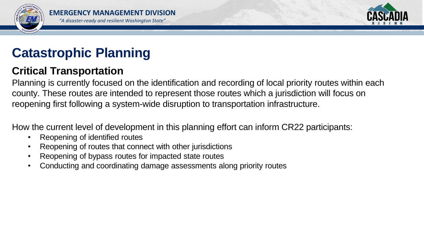



# **Catastrophic Planning**

## **Critical Transportation**

Planning is currently focused on the identification and recording of local priority routes within each county. These routes are intended to represent those routes which a jurisdiction will focus on reopening first following a system-wide disruption to transportation infrastructure.

How the current level of development in this planning effort can inform CR22 participants:

- Reopening of identified routes
- Reopening of routes that connect with other jurisdictions
- Reopening of bypass routes for impacted state routes
- Conducting and coordinating damage assessments along priority routes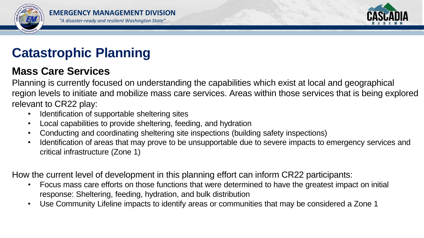



# **Catastrophic Planning**

## **Mass Care Services**

Planning is currently focused on understanding the capabilities which exist at local and geographical region levels to initiate and mobilize mass care services. Areas within those services that is being explored relevant to CR22 play:

- Identification of supportable sheltering sites
- Local capabilities to provide sheltering, feeding, and hydration
- Conducting and coordinating sheltering site inspections (building safety inspections)
- Identification of areas that may prove to be unsupportable due to severe impacts to emergency services and critical infrastructure (Zone 1)

How the current level of development in this planning effort can inform CR22 participants:

- Focus mass care efforts on those functions that were determined to have the greatest impact on initial response: Sheltering, feeding, hydration, and bulk distribution
- Use Community Lifeline impacts to identify areas or communities that may be considered a Zone 1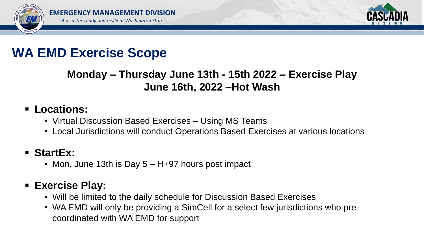



# **WA EMD Exercise Scope**

## **Monday – Thursday June 13th - 15th 2022 – Exercise Play June 16th, 2022 –Hot Wash**

## ▪ **Locations:**

- Virtual Discussion Based Exercises Using MS Teams
- Local Jurisdictions will conduct Operations Based Exercises at various locations

## ▪ **StartEx:**

• Mon, June 13th is Day 5 – H+97 hours post impact

## ▪ **Exercise Play:**

- Will be limited to the daily schedule for Discussion Based Exercises
- WA EMD will only be providing a SimCell for a select few jurisdictions who precoordinated with WA EMD for support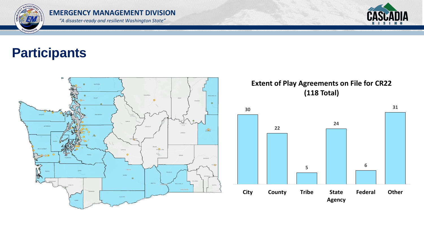



# **Participants**



### **Extent of Play Agreements on File for CR22 (118 Total)**

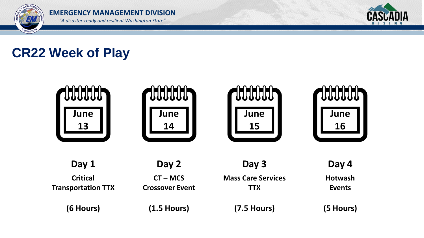



# **CR22 Week of Play**

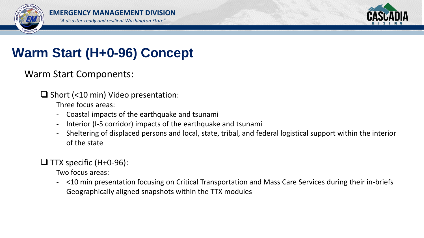



# **Warm Start (H+0-96) Concept**

Warm Start Components:

❑ Short (<10 min) Video presentation:

Three focus areas:

- Coastal impacts of the earthquake and tsunami
- Interior (I-5 corridor) impacts of the earthquake and tsunami
- Sheltering of displaced persons and local, state, tribal, and federal logistical support within the interior of the state

## $\Box$  TTX specific (H+0-96):

Two focus areas:

- <10 min presentation focusing on Critical Transportation and Mass Care Services during their in-briefs
- Geographically aligned snapshots within the TTX modules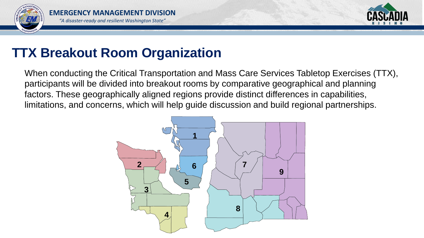



## **TTX Breakout Room Organization**

When conducting the Critical Transportation and Mass Care Services Tabletop Exercises (TTX), participants will be divided into breakout rooms by comparative geographical and planning factors. These geographically aligned regions provide distinct differences in capabilities, limitations, and concerns, which will help guide discussion and build regional partnerships.

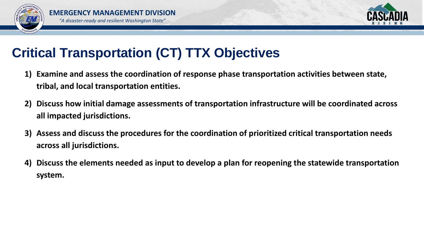



# **Critical Transportation (CT) TTX Objectives**

- **1) Examine and assess the coordination of response phase transportation activities between state, tribal, and local transportation entities.**
- **2) Discuss how initial damage assessments of transportation infrastructure will be coordinated across all impacted jurisdictions.**
- **3) Assess and discuss the procedures for the coordination of prioritized critical transportation needs across all jurisdictions.**
- **4) Discuss the elements needed as input to develop a plan for reopening the statewide transportation system.**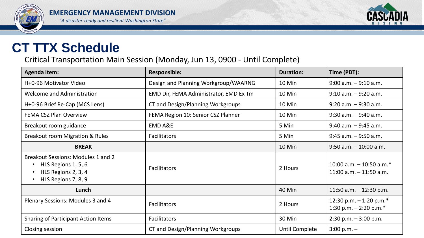



## **CT TTX Schedule**

Critical Transportation Main Session (Monday, Jun 13, 0900 - Until Complete)

| <b>Agenda Item:</b>                                                                                                                                   | <b>Responsible:</b>                    | <b>Duration:</b> | Time (PDT):                                              |
|-------------------------------------------------------------------------------------------------------------------------------------------------------|----------------------------------------|------------------|----------------------------------------------------------|
| H+0-96 Motivator Video                                                                                                                                | Design and Planning Workgroup/WAARNG   | 10 Min           | $9:00$ a.m. $-9:10$ a.m.                                 |
| Welcome and Administration                                                                                                                            | EMD Dir, FEMA Administrator, EMD Ex Tm | 10 Min           | $9:10$ a.m. $-9:20$ a.m.                                 |
| H+0-96 Brief Re-Cap (MCS Lens)                                                                                                                        | CT and Design/Planning Workgroups      | 10 Min           | $9:20$ a.m. $-9:30$ a.m.                                 |
| <b>FEMA CSZ Plan Overview</b>                                                                                                                         | FEMA Region 10: Senior CSZ Planner     | 10 Min           | $9:30$ a.m. $-9:40$ a.m.                                 |
| Breakout room guidance                                                                                                                                | <b>EMD A&amp;E</b>                     | 5 Min            | $9:40$ a.m. $-9:45$ a.m.                                 |
| <b>Breakout room Migration &amp; Rules</b>                                                                                                            | <b>Facilitators</b>                    | 5 Min            | $9:45$ a.m. $-9:50$ a.m.                                 |
| <b>BREAK</b>                                                                                                                                          |                                        | 10 Min           | $9:50$ a.m. $-10:00$ a.m.                                |
| <b>Breakout Sessions: Modules 1 and 2</b><br>HLS Regions 1, 5, 6<br>$\bullet$<br>HLS Regions 2, 3, 4<br>$\bullet$<br>HLS Regions 7, 8, 9<br>$\bullet$ | <b>Facilitators</b>                    | 2 Hours          | 10:00 a.m. $-$ 10:50 a.m.*<br>$11:00$ a.m. $-11:50$ a.m. |
| Lunch                                                                                                                                                 |                                        | 40 Min           | 11:50 a.m. $-$ 12:30 p.m.                                |
| Plenary Sessions: Modules 3 and 4                                                                                                                     | <b>Facilitators</b>                    | 2 Hours          | 12:30 p.m. $-1:20$ p.m.*<br>1:30 p.m. $-$ 2:20 p.m.*     |
| <b>Sharing of Participant Action Items</b>                                                                                                            | <b>Facilitators</b>                    | 30 Min           | $2:30$ p.m. $-3:00$ p.m.                                 |
| Closing session                                                                                                                                       | CT and Design/Planning Workgroups      | Until Complete   | $3:00 p.m. -$                                            |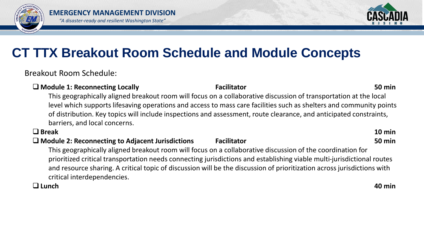



# **CT TTX Breakout Room Schedule and Module Concepts**

Breakout Room Schedule:

### ❑ **Module 1: Reconnecting Locally Facilitator 50 min** This geographically aligned breakout room will focus on a collaborative discussion of transportation at the local level which supports lifesaving operations and access to mass care facilities such as shelters and community points of distribution. Key topics will include inspections and assessment, route clearance, and anticipated constraints, barriers, and local concerns.

### ❑ **Break 10 min**

## ❑ **Module 2: Reconnecting to Adjacent Jurisdictions Facilitator 50 min**

This geographically aligned breakout room will focus on a collaborative discussion of the coordination for prioritized critical transportation needs connecting jurisdictions and establishing viable multi-jurisdictional routes and resource sharing. A critical topic of discussion will be the discussion of prioritization across jurisdictions with critical interdependencies.

### ❑ **Lunch 40 min**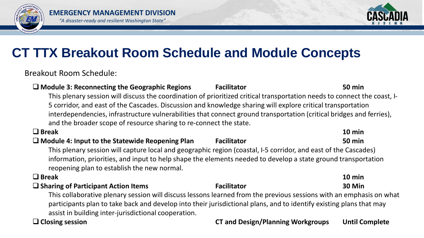



# **CT TTX Breakout Room Schedule and Module Concepts**

Breakout Room Schedule:

### ❑ **Module 3: Reconnecting the Geographic Regions Facilitator 50 min** This plenary session will discuss the coordination of prioritized critical transportation needs to connect the coast, I-5 corridor, and east of the Cascades. Discussion and knowledge sharing will explore critical transportation interdependencies, infrastructure vulnerabilities that connect ground transportation (critical bridges and ferries), and the broader scope of resource sharing to re-connect the state. ❑ **Break 10 min** ❑ **Module 4: Input to the Statewide Reopening Plan Facilitator 50 min** This plenary session will capture local and geographic region (coastal, I-5 corridor, and east of the Cascades) information, priorities, and input to help shape the elements needed to develop a state ground transportation reopening plan to establish the new normal. ❑ **Break 10 min** ❑ **Sharing of Participant Action Items Facilitator 30 Min**

This collaborative plenary session will discuss lessons learned from the previous sessions with an emphasis on what participants plan to take back and develop into their jurisdictional plans, and to identify existing plans that may assist in building inter-jurisdictional cooperation.

### ❑ **Closing session CT and Design/Planning Workgroups Until Complete**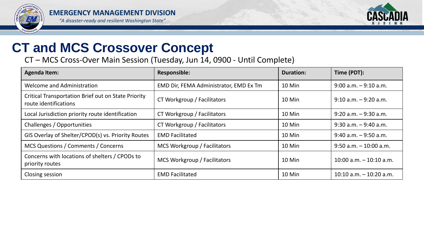



# **CT and MCS Crossover Concept**

CT – MCS Cross-Over Main Session (Tuesday, Jun 14, 0900 - Until Complete)

| <b>Agenda Item:</b>                                                                 | <b>Responsible:</b>                    | <b>Duration:</b> | Time (PDT):                |
|-------------------------------------------------------------------------------------|----------------------------------------|------------------|----------------------------|
| <b>Welcome and Administration</b>                                                   | EMD Dir, FEMA Administrator, EMD Ex Tm | 10 Min           | $9:00$ a.m. $-9:10$ a.m.   |
| <b>Critical Transportation Brief out on State Priority</b><br>route identifications | CT Workgroup / Facilitators            | 10 Min           | $9:10$ a.m. $-9:20$ a.m.   |
| Local Jurisdiction priority route identification                                    | CT Workgroup / Facilitators            | 10 Min           | $9:20$ a.m. $-9:30$ a.m.   |
| Challenges / Opportunities                                                          | CT Workgroup / Facilitators            | 10 Min           | $9:30$ a.m. $-9:40$ a.m.   |
| GIS Overlay of Shelter/CPOD(s) vs. Priority Routes                                  | <b>EMD Facilitated</b>                 | 10 Min           | $9:40$ a.m. $-9:50$ a.m.   |
| MCS Questions / Comments / Concerns                                                 | MCS Workgroup / Facilitators           | 10 Min           | $9:50$ a.m. $-10:00$ a.m.  |
| Concerns with locations of shelters / CPODs to<br>priority routes                   | MCS Workgroup / Facilitators           | 10 Min           | $10:00$ a.m. $-10:10$ a.m. |
| Closing session                                                                     | <b>EMD Facilitated</b>                 | 10 Min           | $10:10$ a.m. $-10:20$ a.m. |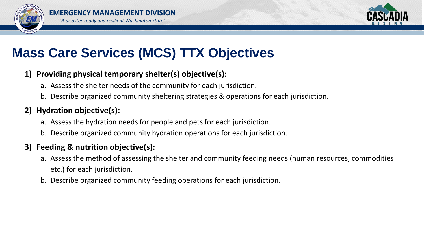



# **Mass Care Services (MCS) TTX Objectives**

## **1) Providing physical temporary shelter(s) objective(s):**

- a. Assess the shelter needs of the community for each jurisdiction.
- b. Describe organized community sheltering strategies & operations for each jurisdiction.

## **2) Hydration objective(s):**

- a. Assess the hydration needs for people and pets for each jurisdiction.
- b. Describe organized community hydration operations for each jurisdiction.

## **3) Feeding & nutrition objective(s):**

- a. Assess the method of assessing the shelter and community feeding needs (human resources, commodities etc.) for each jurisdiction.
- b. Describe organized community feeding operations for each jurisdiction.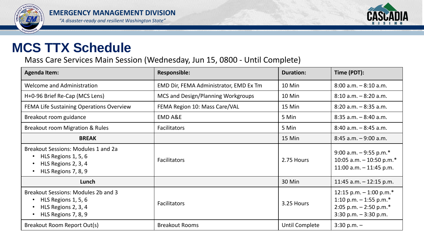



## **MCS TTX Schedule**

Mass Care Services Main Session (Wednesday, Jun 15, 0800 - Until Complete)

| <b>Agenda Item:</b>                                                                                                          | <b>Responsible:</b>                    | <b>Duration:</b> | Time (PDT):                                                                                                   |
|------------------------------------------------------------------------------------------------------------------------------|----------------------------------------|------------------|---------------------------------------------------------------------------------------------------------------|
| <b>Welcome and Administration</b>                                                                                            | EMD Dir, FEMA Administrator, EMD Ex Tm | 10 Min           | $8:00$ a.m. $-8:10$ a.m.                                                                                      |
| H+0-96 Brief Re-Cap (MCS Lens)                                                                                               | MCS and Design/Planning Workgroups     | 10 Min           | $8:10$ a.m. $-8:20$ a.m.                                                                                      |
| FEMA Life Sustaining Operations Overview                                                                                     | FEMA Region 10: Mass Care/VAL          | 15 Min           | $8:20$ a.m. $-8:35$ a.m.                                                                                      |
| Breakout room guidance                                                                                                       | <b>EMD A&amp;E</b>                     | 5 Min            | $8:35$ a.m. $-8:40$ a.m.                                                                                      |
| <b>Breakout room Migration &amp; Rules</b>                                                                                   | <b>Facilitators</b>                    | 5 Min            | $8:40$ a.m. $-8:45$ a.m.                                                                                      |
| <b>BREAK</b>                                                                                                                 |                                        | 15 Min           | $8:45$ a.m. $-9:00$ a.m.                                                                                      |
| Breakout Sessions: Modules 1 and 2a<br>HLS Regions 1, 5, 6<br>HLS Regions 2, 3, 4<br>HLS Regions 7, 8, 9<br>$\bullet$        | <b>Facilitators</b>                    | 2.75 Hours       | 9:00 a.m. $-$ 9:55 p.m.*<br>10:05 a.m. $-$ 10:50 p.m.*<br>11:00 a.m. $-$ 11:45 p.m.                           |
| Lunch                                                                                                                        |                                        | 30 Min           | 11:45 a.m. $-$ 12:15 p.m.                                                                                     |
| <b>Breakout Sessions: Modules 2b and 3</b><br>HLS Regions 1, 5, 6<br>HLS Regions 2, 3, 4<br>$\bullet$<br>HLS Regions 7, 8, 9 | <b>Facilitators</b>                    | 3.25 Hours       | 12:15 p.m. $-$ 1:00 p.m.*<br>1:10 p.m. $-$ 1:55 p.m.*<br>2:05 p.m. $-$ 2:50 p.m.*<br>$3:30$ p.m. $-3:30$ p.m. |
| Breakout Room Report Out(s)                                                                                                  | <b>Breakout Rooms</b>                  | Until Complete   | $3:30$ p.m. $-$                                                                                               |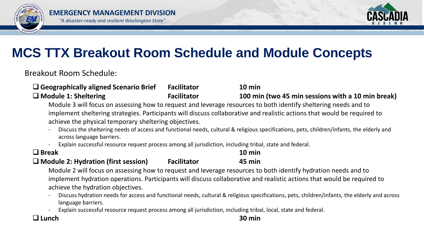



# **MCS TTX Breakout Room Schedule and Module Concepts**

Breakout Room Schedule:

| $\Box$ Geographically aligned Scenario Brief                                                                    | <b>Facilitator</b> | $10 \text{ min}$                                  |  |  |
|-----------------------------------------------------------------------------------------------------------------|--------------------|---------------------------------------------------|--|--|
| $\Box$ Module 1: Sheltering                                                                                     | <b>Facilitator</b> | 100 min (two 45 min sessions with a 10 min break) |  |  |
| Module 3 will focus on assessing how to request and leverage resources to both identify sheltering needs and to |                    |                                                   |  |  |

implement sheltering strategies. Participants will discuss collaborative and realistic actions that would be required to achieve the physical temporary sheltering objectives.

- Discuss the sheltering needs of access and functional needs, cultural & religious specifications, pets, children/infants, the elderly and across language barriers.
- Explain successful resource request process among all jurisdiction, including tribal, state and federal.

| $\Box$ Break                               |                    | $10 \text{ min}$ |
|--------------------------------------------|--------------------|------------------|
| $\Box$ Module 2: Hydration (first session) | <b>Facilitator</b> | 45 min           |

Module 2 will focus on assessing how to request and leverage resources to both identify hydration needs and to implement hydration operations. Participants will discuss collaborative and realistic actions that would be required to achieve the hydration objectives.

- Discuss hydration needs for access and functional needs, cultural & religious specifications, pets, children/infants, the elderly and across language barriers.
- Explain successful resource request process among all jurisdiction, including tribal, local, state and federal.

### ❑ **Lunch 30 min**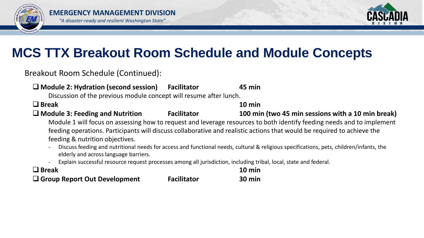



# **MCS TTX Breakout Room Schedule and Module Concepts**

Breakout Room Schedule (Continued):

| $\Box$ Module 2: Hydration (second session)<br>Discussion of the previous module concept will resume after lunch.                                                                                                                                                                                                                                                                                                                                                                                                                                                                                               | <b>Facilitator</b> | 45 min                                            |  |  |
|-----------------------------------------------------------------------------------------------------------------------------------------------------------------------------------------------------------------------------------------------------------------------------------------------------------------------------------------------------------------------------------------------------------------------------------------------------------------------------------------------------------------------------------------------------------------------------------------------------------------|--------------------|---------------------------------------------------|--|--|
| $\Box$ Break                                                                                                                                                                                                                                                                                                                                                                                                                                                                                                                                                                                                    |                    | $10 \text{ min}$                                  |  |  |
| $\Box$ Module 3: Feeding and Nutrition                                                                                                                                                                                                                                                                                                                                                                                                                                                                                                                                                                          | <b>Facilitator</b> | 100 min (two 45 min sessions with a 10 min break) |  |  |
| Module 1 will focus on assessing how to request and leverage resources to both identify feeding needs and to implement<br>feeding operations. Participants will discuss collaborative and realistic actions that would be required to achieve the<br>feeding & nutrition objectives.<br>Discuss feeding and nutritional needs for access and functional needs, cultural & religious specifications, pets, children/infants, the<br>elderly and across language barriers.<br>Explain successful resource request processes among all jurisdiction, including tribal, local, state and federal.<br>$\blacksquare$ |                    |                                                   |  |  |
| $\Box$ Break                                                                                                                                                                                                                                                                                                                                                                                                                                                                                                                                                                                                    |                    | $10 \text{ min}$                                  |  |  |
| $\Box$ Group Report Out Development                                                                                                                                                                                                                                                                                                                                                                                                                                                                                                                                                                             | <b>Facilitator</b> | $30 \text{ min}$                                  |  |  |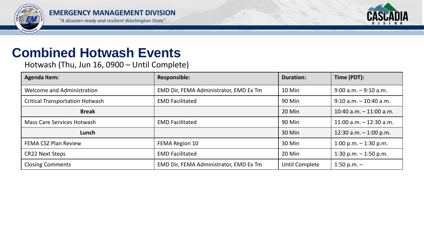



## **Combined Hotwash Events**

Hotwash (Thu, Jun 16, 0900 – Until Complete)

| <b>Agenda Item:</b>                    | <b>Responsible:</b>                    | <b>Duration:</b> | Time (PDT):               |
|----------------------------------------|----------------------------------------|------------------|---------------------------|
| <b>Welcome and Administration</b>      | EMD Dir, FEMA Administrator, EMD Ex Tm | 10 Min           | $9:00$ a.m. $-9:10$ a.m.  |
| <b>Critical Transportation Hotwash</b> | <b>EMD Facilitated</b>                 | 90 Min           | $9:10$ a.m. $-10:40$ a.m. |
| <b>Break</b>                           |                                        | 20 Min           | 10:40 a.m. $-$ 11:00 a.m. |
| <b>Mass Care Services Hotwash</b>      | <b>EMD Facilitated</b>                 | 90 Min           | 11:00 a.m. $-$ 12:30 a.m. |
| Lunch                                  |                                        | 30 Min           | 12:30 a.m. $-$ 1:00 p.m.  |
| <b>FEMA CSZ Plan Review</b>            | FEMA Region 10                         | 30 Min           | 1:00 p.m. $-$ 1:30 p.m.   |
| <b>CR22 Next Steps</b>                 | <b>EMD Facilitated</b>                 | 20 Min           | 1:30 p.m. $-$ 1:50 p.m.   |
| <b>Closing Comments</b>                | EMD Dir, FEMA Administrator, EMD Ex Tm | Until Complete   | 1:50 p.m. $-$             |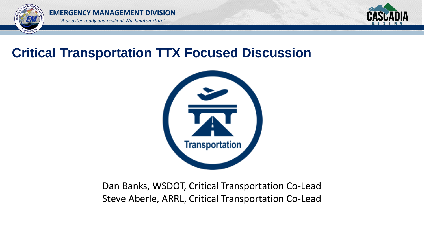



## **Critical Transportation TTX Focused Discussion**



Dan Banks, WSDOT, Critical Transportation Co-Lead Steve Aberle, ARRL, Critical Transportation Co-Lead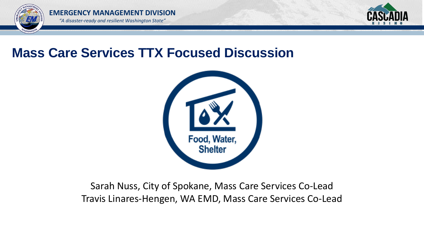



## **Mass Care Services TTX Focused Discussion**



## Sarah Nuss, City of Spokane, Mass Care Services Co-Lead Travis Linares-Hengen, WA EMD, Mass Care Services Co-Lead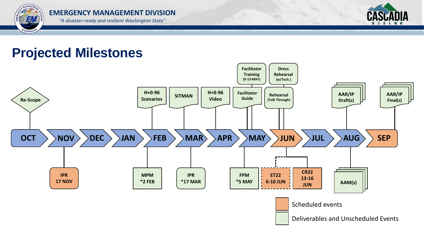EM WASHINGTO



#### *"A disaster-ready and resilient Washington State"*

## **Projected Milestones**

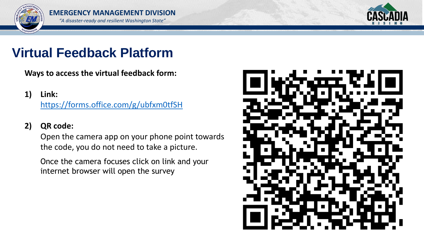



# **Virtual Feedback Platform**

**Ways to access the virtual feedback form:**

**1) Link:**

<https://forms.office.com/g/ubfxm0tfSH>

## **2) QR code:**

Open the camera app on your phone point towards the code, you do not need to take a picture.

Once the camera focuses click on link and your internet browser will open the survey

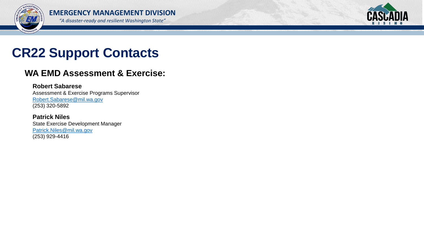



# **CR22 Support Contacts**

## **WA EMD Assessment & Exercise:**

#### **Robert Sabarese** Assessment & Exercise Programs Supervisor [Robert.Sabarese@mil.wa.gov](mailto:Robert.Sabarese@mil.wa.gov) (253) 320-5892

**Patrick Niles** State Exercise Development Manager [Patrick.Niles@mil.wa.gov](mailto:Patrick.Niles@mil.wa.gov) (253) 929-4416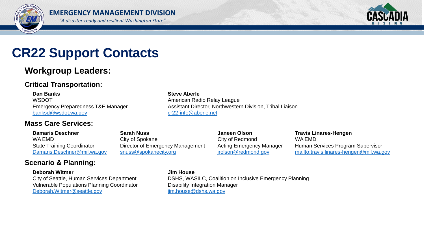



## **CR22 Support Contacts**

## **Workgroup Leaders:**

### **Critical Transportation:**

**Dan Banks Steve Aberle** WSDOT WERE AMERICAN MOTOR AMERICAN RADIO RELAY LEAGUE Emergency Preparedness T&E Manager Assistant Director, Northwestern Division, Tribal Liaison [banksd@wsdot.wa.gov](mailto:banksd@wsdot.wa.gov) [cr22-info@aberle.net](mailto:cr22-info@aberle.net)

#### **Mass Care Services:**

**Damaris Deschner Sarah Nuss Janeen Olson Travis Linares-Hengen** WA EMD City of Spokane City of Spokane City of Redmond WA EMD

State Training Coordinator **Director of Emergency Management** Acting Emergency Manager Human Services Program Supervisor [Damaris.Deschner@mil.wa.gov](mailto:Damaris.Deschner@mil.wa.gov) [snuss@spokanecity.org](mailto:snuss@spokanecity.org) irolson@redmond.gov <mailto:travis.linares-hengen@mil.wa.gov>

### **Scenario & Planning:**

#### **Deborah Witmer Jim House**

Vulnerable Populations Planning Coordinator **Disability Integration Manager** [Deborah.Witmer@seattle.gov](mailto:Deborah.Witmer@seattle.gov) im.house@dshs.wa.gov

City of Seattle, Human Services Department DSHS, WASILC, Coalition on Inclusive Emergency Planning